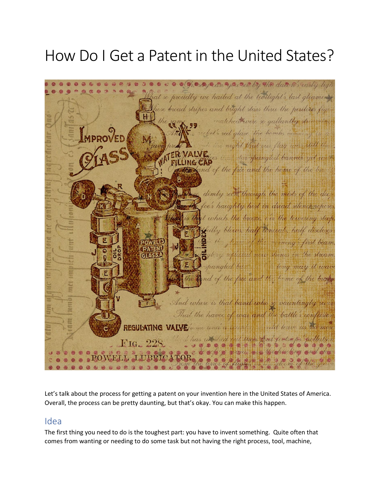# How Do I Get a Patent in the United States?



Let's talk about the process for getting a patent on your invention here in the United States of America. Overall, the process can be pretty daunting, but that's okay. You can make this happen.

#### Idea

The first thing you need to do is the toughest part: you have to invent something. Quite often that comes from wanting or needing to do some task but not having the right process, tool, machine,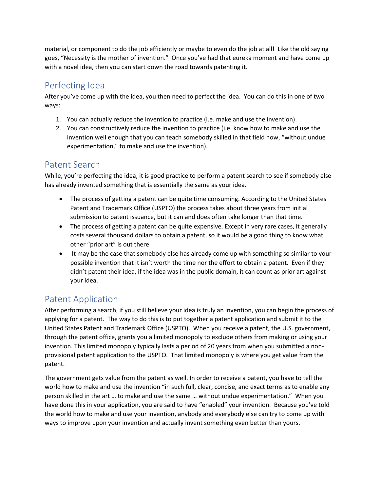material, or component to do the job efficiently or maybe to even do the job at all! Like the old saying goes, "Necessity is the mother of invention." Once you've had that eureka moment and have come up with a novel idea, then you can start down the road towards patenting it.

# Perfecting Idea

After you've come up with the idea, you then need to perfect the idea. You can do this in one of two ways:

- 1. You can actually reduce the invention to practice (i.e. make and use the invention).
- 2. You can constructively reduce the invention to practice (i.e. know how to make and use the invention well enough that you can teach somebody skilled in that field how, "without undue experimentation," to make and use the invention).

## Patent Search

While, you're perfecting the idea, it is good practice to perform a patent search to see if somebody else has already invented something that is essentially the same as your idea.

- The process of getting a patent can be quite time consuming. According to the United States Patent and Trademark Office (USPTO) the process takes about three years from initial submission to patent issuance, but it can and does often take longer than that time.
- The process of getting a patent can be quite expensive. Except in very rare cases, it generally costs several thousand dollars to obtain a patent, so it would be a good thing to know what other "prior art" is out there.
- It may be the case that somebody else has already come up with something so similar to your possible invention that it isn't worth the time nor the effort to obtain a patent. Even if they didn't patent their idea, if the idea was in the public domain, it can count as prior art against your idea.

# Patent Application

After performing a search, if you still believe your idea is truly an invention, you can begin the process of applying for a patent. The way to do this is to put together a patent application and submit it to the United States Patent and Trademark Office (USPTO). When you receive a patent, the U.S. government, through the patent office, grants you a limited monopoly to exclude others from making or using your invention. This limited monopoly typically lasts a period of 20 years from when you submitted a nonprovisional patent application to the USPTO. That limited monopoly is where you get value from the patent.

The government gets value from the patent as well. In order to receive a patent, you have to tell the world how to make and use the invention "in such full, clear, concise, and exact terms as to enable any person skilled in the art … to make and use the same … without undue experimentation." When you have done this in your application, you are said to have "enabled" your invention. Because you've told the world how to make and use your invention, anybody and everybody else can try to come up with ways to improve upon your invention and actually invent something even better than yours.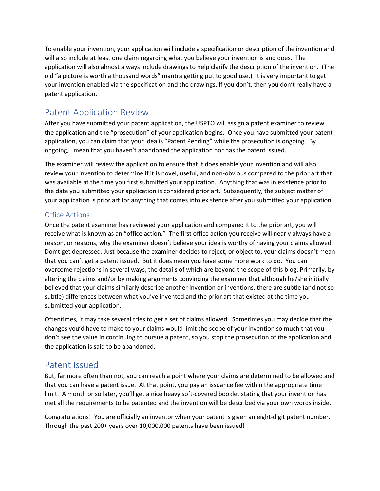To enable your invention, your application will include a specification or description of the invention and will also include at least one claim regarding what you believe your invention is and does. The application will also almost always include drawings to help clarify the description of the invention. (The old "a picture is worth a thousand words" mantra getting put to good use.) It is very important to get your invention enabled via the specification and the drawings. If you don't, then you don't really have a patent application.

## Patent Application Review

After you have submitted your patent application, the USPTO will assign a patent examiner to review the application and the "prosecution" of your application begins. Once you have submitted your patent application, you can claim that your idea is "Patent Pending" while the prosecution is ongoing. By ongoing, I mean that you haven't abandoned the application nor has the patent issued.

The examiner will review the application to ensure that it does enable your invention and will also review your invention to determine if it is novel, useful, and non-obvious compared to the prior art that was available at the time you first submitted your application. Anything that was in existence prior to the date you submitted your application is considered prior art. Subsequently, the subject matter of your application is prior art for anything that comes into existence after you submitted your application.

#### Office Actions

Once the patent examiner has reviewed your application and compared it to the prior art, you will receive what is known as an "office action." The first office action you receive will nearly always have a reason, or reasons, why the examiner doesn't believe your idea is worthy of having your claims allowed. Don't get depressed. Just because the examiner decides to reject, or object to, your claims doesn't mean that you can't get a patent issued. But it does mean you have some more work to do. You can overcome rejections in several ways, the details of which are beyond the scope of this blog. Primarily, by altering the claims and/or by making arguments convincing the examiner that although he/she initially believed that your claims similarly describe another invention or inventions, there are subtle (and not so subtle) differences between what you've invented and the prior art that existed at the time you submitted your application.

Oftentimes, it may take several tries to get a set of claims allowed. Sometimes you may decide that the changes you'd have to make to your claims would limit the scope of your invention so much that you don't see the value in continuing to pursue a patent, so you stop the prosecution of the application and the application is said to be abandoned.

### Patent Issued

But, far more often than not, you can reach a point where your claims are determined to be allowed and that you can have a patent issue. At that point, you pay an issuance fee within the appropriate time limit. A month or so later, you'll get a nice heavy soft-covered booklet stating that your invention has met all the requirements to be patented and the invention will be described via your own words inside.

Congratulations! You are officially an inventor when your patent is given an eight-digit patent number. Through the past 200+ years over 10,000,000 patents have been issued!